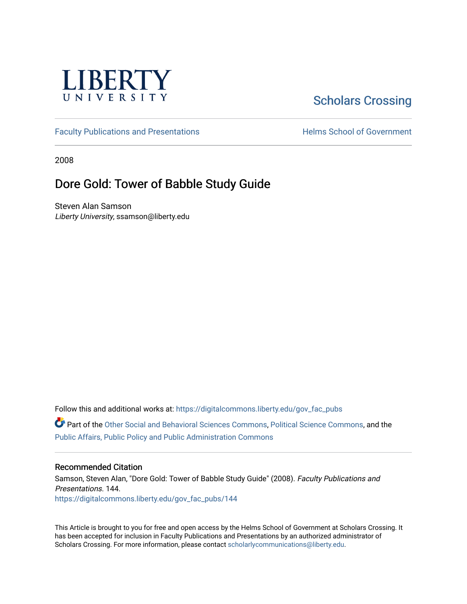

# [Scholars Crossing](https://digitalcommons.liberty.edu/)

[Faculty Publications and Presentations](https://digitalcommons.liberty.edu/gov_fac_pubs) **Exercise School of Government** 

2008

## Dore Gold: Tower of Babble Study Guide

Steven Alan Samson Liberty University, ssamson@liberty.edu

Follow this and additional works at: [https://digitalcommons.liberty.edu/gov\\_fac\\_pubs](https://digitalcommons.liberty.edu/gov_fac_pubs?utm_source=digitalcommons.liberty.edu%2Fgov_fac_pubs%2F144&utm_medium=PDF&utm_campaign=PDFCoverPages)

Part of the [Other Social and Behavioral Sciences Commons](http://network.bepress.com/hgg/discipline/437?utm_source=digitalcommons.liberty.edu%2Fgov_fac_pubs%2F144&utm_medium=PDF&utm_campaign=PDFCoverPages), [Political Science Commons](http://network.bepress.com/hgg/discipline/386?utm_source=digitalcommons.liberty.edu%2Fgov_fac_pubs%2F144&utm_medium=PDF&utm_campaign=PDFCoverPages), and the [Public Affairs, Public Policy and Public Administration Commons](http://network.bepress.com/hgg/discipline/393?utm_source=digitalcommons.liberty.edu%2Fgov_fac_pubs%2F144&utm_medium=PDF&utm_campaign=PDFCoverPages)

#### Recommended Citation

Samson, Steven Alan, "Dore Gold: Tower of Babble Study Guide" (2008). Faculty Publications and Presentations. 144. [https://digitalcommons.liberty.edu/gov\\_fac\\_pubs/144](https://digitalcommons.liberty.edu/gov_fac_pubs/144?utm_source=digitalcommons.liberty.edu%2Fgov_fac_pubs%2F144&utm_medium=PDF&utm_campaign=PDFCoverPages)

This Article is brought to you for free and open access by the Helms School of Government at Scholars Crossing. It has been accepted for inclusion in Faculty Publications and Presentations by an authorized administrator of Scholars Crossing. For more information, please contact [scholarlycommunications@liberty.edu.](mailto:scholarlycommunications@liberty.edu)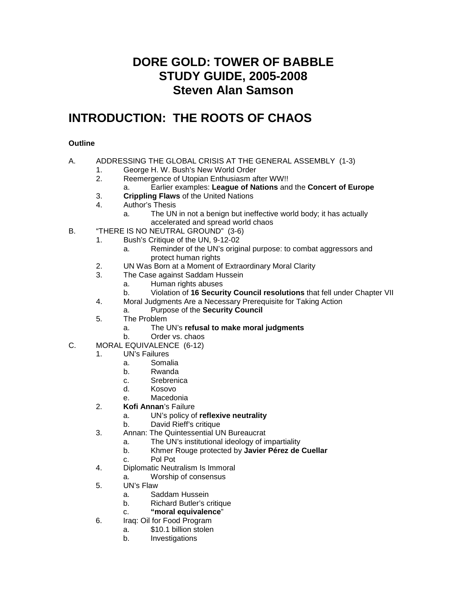## **DORE GOLD: TOWER OF BABBLE STUDY GUIDE, 2005-2008 Steven Alan Samson**

## **INTRODUCTION: THE ROOTS OF CHAOS**

### **Outline**

#### A. ADDRESSING THE GLOBAL CRISIS AT THE GENERAL ASSEMBLY (1-3)

- 1. George H. W. Bush's New World Order
- 2. Reemergence of Utopian Enthusiasm after WW!!
- a. Earlier examples: **League of Nations** and the **Concert of Europe**
- 3. **Crippling Flaws** of the United Nations
- 4. Author's Thesis
	- a. The UN in not a benign but ineffective world body; it has actually accelerated and spread world chaos
- B. "THERE IS NO NEUTRAL GROUND" (3-6)
	- 1. Bush's Critique of the UN, 9-12-02
		- a. Reminder of the UN's original purpose: to combat aggressors and protect human rights
	- 2. UN Was Born at a Moment of Extraordinary Moral Clarity
	- 3. The Case against Saddam Hussein
		- a. Human rights abuses
		- b. Violation of **16 Security Council resolutions** that fell under Chapter VII
	- 4. Moral Judgments Are a Necessary Prerequisite for Taking Action
	- a. Purpose of the **Security Council**
	- 5. The Problem
		- a. The UN's **refusal to make moral judgments**
	- b. Order vs. chaos
- C. MORAL EQUIVALENCE (6-12)
	- 1. UN's Failures
		- a. Somalia
		- b. Rwanda
		- c. Srebrenica
		- d. Kosovo
		- e. Macedonia
	- 2. **Kofi Annan**'s Failure
		- a. UN's policy of **reflexive neutrality**
		- b. David Rieff's critique
	- 3. Annan: The Quintessential UN Bureaucrat
		- a. The UN's institutional ideology of impartiality
		- b. Khmer Rouge protected by **Javier Pérez de Cuellar**
		- c. Pol Pot
	- 4. Diplomatic Neutralism Is Immoral
		- a. Worship of consensus
	- 5. UN's Flaw
		- a. Saddam Hussein
		- b. Richard Butler's critique
		- c. **"moral equivalence**"
	- 6. Iraq: Oil for Food Program
		- a. \$10.1 billion stolen
		- b. Investigations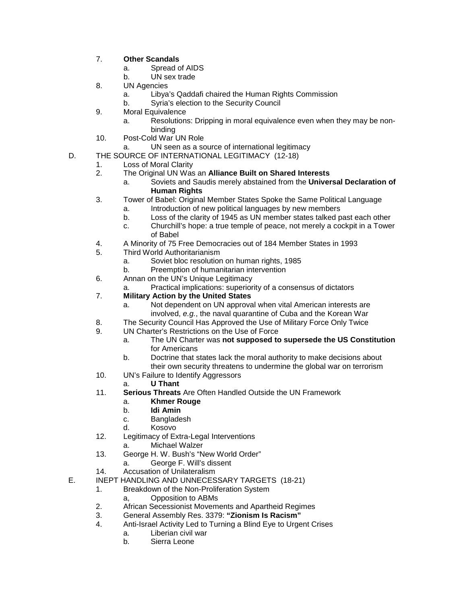- 7. **Other Scandals**
	- a. Spread of AIDS
	- b. UN sex trade
- 8. UN Agencies
	- a. Libya's Qaddafi chaired the Human Rights Commission
	- b. Syria's election to the Security Council
- 9. Moral Equivalence
	- a. Resolutions: Dripping in moral equivalence even when they may be nonbinding
- 10. Post-Cold War UN Role
	- a. UN seen as a source of international legitimacy
- D. THE SOURCE OF INTERNATIONAL LEGITIMACY (12-18)
	- 1. Loss of Moral Clarity
	- 2. The Original UN Was an **Alliance Built on Shared Interests**
		- a. Soviets and Saudis merely abstained from the **Universal Declaration of Human Rights**
	- 3. Tower of Babel: Original Member States Spoke the Same Political Language
		- a. Introduction of new political languages by new members
			- b. Loss of the clarity of 1945 as UN member states talked past each other
			- c. Churchill's hope: a true temple of peace, not merely a cockpit in a Tower of Babel
	- 4. A Minority of 75 Free Democracies out of 184 Member States in 1993
	- 5. Third World Authoritarianism
		- a. Soviet bloc resolution on human rights, 1985
		- b. Preemption of humanitarian intervention
	- 6. Annan on the UN's Unique Legitimacy
		- Practical implications: superiority of a consensus of dictators
	- 7. **Military Action by the United States**
		- a. Not dependent on UN approval when vital American interests are involved, *e.g.*, the naval quarantine of Cuba and the Korean War
	- 8. The Security Council Has Approved the Use of Military Force Only Twice
	- 9. UN Charter's Restrictions on the Use of Force
		- a. The UN Charter was **not supposed to supersede the US Constitution** for Americans
		- b. Doctrine that states lack the moral authority to make decisions about their own security threatens to undermine the global war on terrorism
	- 10. UN's Failure to Identify Aggressors
		- a. **U Thant**
	- 11. **Serious Threats** Are Often Handled Outside the UN Framework
		- a. **Khmer Rouge**
		- b. **Idi Amin**
		- c. Bangladesh
		- d. Kosovo
	- 12. Legitimacy of Extra-Legal Interventions
		- a. Michael Walzer
	- 13. George H. W. Bush's "New World Order"
		- a. George F. Will's dissent
	- 14. Accusation of Unilateralism
- E. INEPT HANDLING AND UNNECESSARY TARGETS (18-21)
	- 1. Breakdown of the Non-Proliferation System
		- a, Opposition to ABMs
	- 2. African Secessionist Movements and Apartheid Regimes
	- 3. General Assembly Res. 3379: **"Zionism Is Racism"**
	- Anti-Israel Activity Led to Turning a Blind Eye to Urgent Crises
		- a. Liberian civil war
		- b. Sierra Leone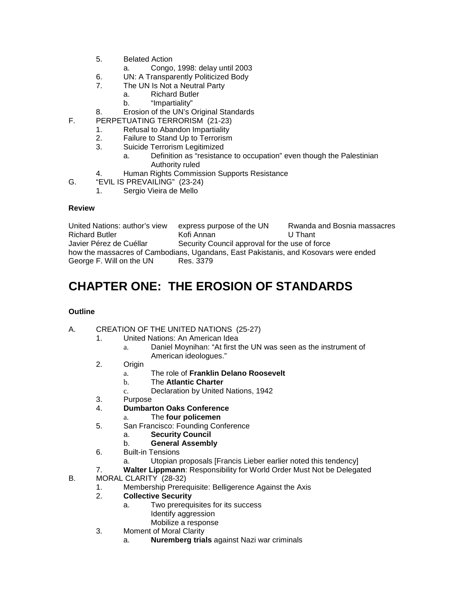- 5. Belated Action
	- a. Congo, 1998: delay until 2003
- 6. UN: A Transparently Politicized Body<br>7 The UN Is Not a Neutral Party
	- The UN Is Not a Neutral Party
		- a. Richard Butler
			- b. "Impartiality"
- 8. Erosion of the UN's Original Standards
- F. PERPETUATING TERRORISM (21-23)
	- 1. Refusal to Abandon Impartiality<br>2. Failure to Stand Up to Terrorism
	- Failure to Stand Up to Terrorism
	- 3. Suicide Terrorism Legitimized
		- a. Definition as "resistance to occupation" even though the Palestinian Authority ruled
	- 4. Human Rights Commission Supports Resistance
- G. "EVIL IS PREVAILING" (23-24)
	- 1. Sergio Vieira de Mello

United Nations: author's view express purpose of the UN Rwanda and Bosnia massacres<br>Richard Butler Kofi Annan CCCC U Thant Richard Butler<br>Javier Pérez de Cuéllar Security Council approval for the use of force how the massacres of Cambodians, Ugandans, East Pakistanis, and Kosovars were ended George F. Will on the UN Res. 3379 George F. Will on the UN

# **CHAPTER ONE: THE EROSION OF STANDARDS**

#### **Outline**

#### A. CREATION OF THE UNITED NATIONS (25-27)

- 1. United Nations: An American Idea
	- a. Daniel Moynihan: "At first the UN was seen as the instrument of American ideologues."
- 2. Origin
	- a. The role of **Franklin Delano Roosevelt**
	- b. The **Atlantic Charter**
	- c. Declaration by United Nations, 1942
- 3. Purpose<br>4 Dumbart
- 4. **Dumbarton Oaks Conference**
	- a. The **four policemen**
- 5. San Francisco: Founding Conference
	- a. **Security Council**
	- b. **General Assembly**
- 6. Built-in Tensions
	- a. Utopian proposals [Francis Lieber earlier noted this tendency]
- 7. **Walter Lippmann**: Responsibility for World Order Must Not be Delegated
- B. MORAL CLARITY (28-32)
	- 1. Membership Prerequisite: Belligerence Against the Axis
	- 2. **Collective Security**
		- a. Two prerequisites for its success
			- Identify aggression
			- Mobilize a response
	- 3. Moment of Moral Clarity
		- a. **Nuremberg trials** against Nazi war criminals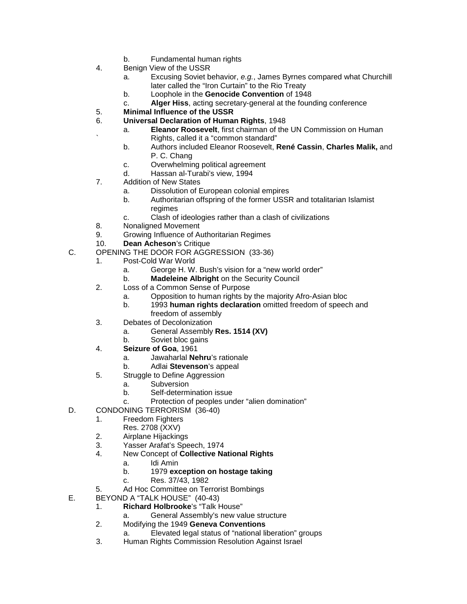- b. Fundamental human rights
- 4. Benign View of the USSR
	- a. Excusing Soviet behavior, *e.g.*, James Byrnes compared what Churchill later called the "Iron Curtain" to the Rio Treaty
	- b. Loophole in the **Genocide Convention** of 1948
	- c. **Alger Hiss**, acting secretary-general at the founding conference
- 5. **Minimal Influence of the USSR**
- 6. **Universal Declaration of Human Rights**, 1948
	- a. **Eleanor Roosevelt**, first chairman of the UN Commission on Human ` Rights, called it a "common standard"
		- b. Authors included Eleanor Roosevelt, **René Cassin**, **Charles Malik,** and P. C. Chang
		- c. Overwhelming political agreement
		- d. Hassan al-Turabi's view, 1994
- 7. Addition of New States
	- a. Dissolution of European colonial empires
	- b. Authoritarian offspring of the former USSR and totalitarian Islamist regimes
	- c. Clash of ideologies rather than a clash of civilizations
- 8. Nonaligned Movement<br>9. Growing Influence of A
- 9. Growing Influence of Authoritarian Regimes
- 10. **Dean Acheson**'s Critique
- C. OPENING THE DOOR FOR AGGRESSION (33-36)
	- 1. Post-Cold War World
		- a. George H. W. Bush's vision for a "new world order"
		- b. **Madeleine Albright** on the Security Council
	- 2. Loss of a Common Sense of Purpose
		- a. Opposition to human rights by the majority Afro-Asian bloc
		- b. 1993 **human rights declaration** omitted freedom of speech and
		- freedom of assembly
	- 3. Debates of Decolonization
		- a. General Assembly **Res. 1514 (XV)**
		- b. Soviet bloc gains
	- 4. **Seizure of Goa**, 1961
		- a. Jawaharlal **Nehru**'s rationale
		- b. Adlai **Stevenson**'s appeal
	- 5. Struggle to Define Aggression
		- a. Subversion
			- b. Self-determination issue
			- c. Protection of peoples under "alien domination"
- D. CONDONING TERRORISM (36-40)
	- 1. Freedom Fighters
		- Res. 2708 (XXV)
	- 2. Airplane Hijackings
	- 3. Yasser Arafat's Speech, 1974<br>4 New Concept of Collective Na
	- 4. New Concept of **Collective National Rights**
		- a. Idi Amin
		- b. 1979 **exception on hostage taking**
		- c. Res. 37/43, 1982
	- 5. Ad Hoc Committee on Terrorist Bombings
- E. BEYOND A "TALK HOUSE" (40-43)
	- 1. **Richard Holbrooke**'s "Talk House"
		- a. General Assembly's new value structure
	- 2. Modifying the 1949 **Geneva Conventions**
		- a. Elevated legal status of "national liberation" groups
	- 3. Human Rights Commission Resolution Against Israel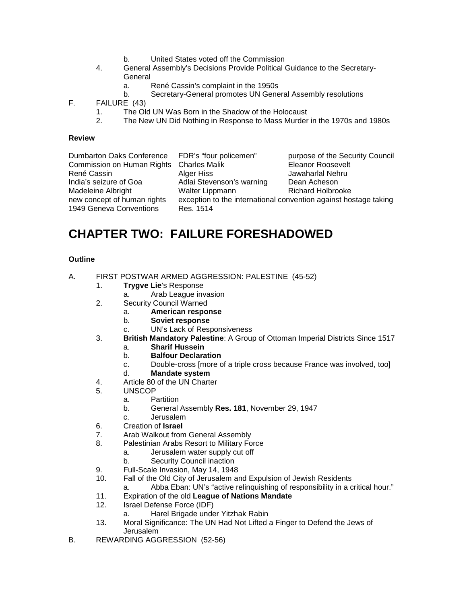- b. United States voted off the Commission
- 4. General Assembly's Decisions Provide Political Guidance to the Secretary-**General** 
	- a. René Cassin's complaint in the 1950s
	- b. Secretary-General promotes UN General Assembly resolutions
- F. FAILURE (43)
	- 1. The Old UN Was Born in the Shadow of the Holocaust
	- 2. The New UN Did Nothing in Response to Mass Murder in the 1970s and 1980s

| Dumbarton Oaks Conference   | FDR's "four policemen"                                           | purpose of the Security Council |
|-----------------------------|------------------------------------------------------------------|---------------------------------|
| Commission on Human Rights  | <b>Charles Malik</b>                                             | <b>Eleanor Roosevelt</b>        |
| René Cassin                 | Alger Hiss                                                       | Jawaharlal Nehru                |
| India's seizure of Goa      | Adlai Stevenson's warning                                        | Dean Acheson                    |
| Madeleine Albright          | Walter Lippmann                                                  | <b>Richard Holbrooke</b>        |
| new concept of human rights | exception to the international convention against hostage taking |                                 |
| 1949 Geneva Conventions     | Res. 1514                                                        |                                 |
|                             |                                                                  |                                 |

## **CHAPTER TWO: FAILURE FORESHADOWED**

- A. FIRST POSTWAR ARMED AGGRESSION: PALESTINE (45-52)
	- 1. **Trygve Lie**'s Response
		- a. Arab League invasion
	- 2. Security Council Warned
		- a. **American response**
		- b. **Soviet response**
		- c. UN's Lack of Responsiveness
	- 3. **British Mandatory Palestine**: A Group of Ottoman Imperial Districts Since 1517
		- a. **Sharif Hussein**
		- b. **Balfour Declaration**
		- c. Double-cross [more of a triple cross because France was involved, too]<br>d. **Mandate system**
		- **Mandate system**
	- 4. Article 80 of the UN Charter
	- 5. UNSCOP
		- a. Partition
			- b. General Assembly **Res. 181**, November 29, 1947
			- c. Jerusalem
	- 6. Creation of **Israel**
	- 7. Arab Walkout from General Assembly
	- 8. Palestinian Arabs Resort to Military Force
		- a. Jerusalem water supply cut off
		- b. Security Council inaction
	- 9. Full-Scale Invasion, May 14, 1948<br>10. Fall of the Old City of Jerusalem ar
		- Fall of the Old City of Jerusalem and Expulsion of Jewish Residents
		- a. Abba Eban: UN's "active relinquishing of responsibility in a critical hour."
	- 11. Expiration of the old **League of Nations Mandate**
	- Israel Defense Force (IDF)
		- a. Harel Brigade under Yitzhak Rabin
	- 13. Moral Significance: The UN Had Not Lifted a Finger to Defend the Jews of Jerusalem
- B. REWARDING AGGRESSION (52-56)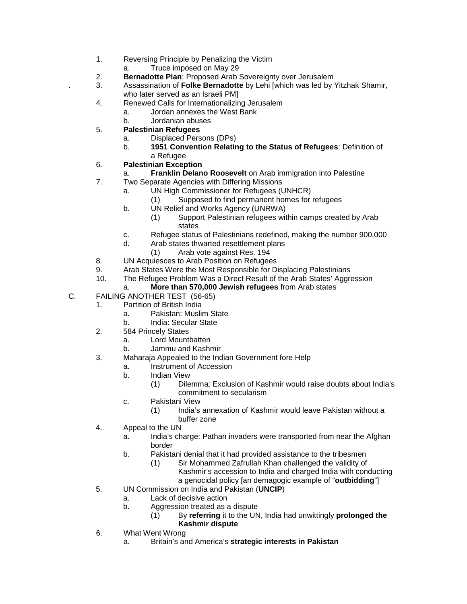- 1. Reversing Principle by Penalizing the Victim
	- a. Truce imposed on May 29
- 2. **Bernadotte Plan**: Proposed Arab Sovereignty over Jerusalem<br>3. Assassination of **Folke Bernadotte** by Lehi [which was led by ]
- . 3. Assassination of **Folke Bernadotte** by Lehi [which was led by Yitzhak Shamir, who later served as an Israeli PM]
- 4. Renewed Calls for Internationalizing Jerusalem
	- a. Jordan annexes the West Bank
	- b. Jordanian abuses
- 5. **Palestinian Refugees**
	- a. Displaced Persons (DPs)
	- b. **1951 Convention Relating to the Status of Refugees**: Definition of a Refugee
- 6. **Palestinian Exception**
- a. **Franklin Delano Roosevelt** on Arab immigration into Palestine
- 7. Two Separate Agencies with Differing Missions
	- a. UN High Commissioner for Refugees (UNHCR)
		- (1) Supposed to find permanent homes for refugees
	- b. UN Relief and Works Agency (UNRWA)
		- (1) Support Palestinian refugees within camps created by Arab states
	- c. Refugee status of Palestinians redefined, making the number 900,000
	- d. Arab states thwarted resettlement plans
	- (1) Arab vote against Res. 194
- 8. UN Acquiesces to Arab Position on Refugees<br>9. Arab States Were the Most Responsible for Di
- 9. Arab States Were the Most Responsible for Displacing Palestinians
- 10. The Refugee Problem Was a Direct Result of the Arab States' Aggression
	- a. **More than 570,000 Jewish refugees** from Arab states
- C. FAILING ANOTHER TEST (56-65)
	- 1. Partition of British India
		- a. Pakistan: Muslim State
		- b. India: Secular State
	- 2. 584 Princely States
		- a. Lord Mountbatten
		- b. Jammu and Kashmir
	- 3. Maharaja Appealed to the Indian Government fore Help
		- a. Instrument of Accession
		- b. Indian View
			- (1) Dilemma: Exclusion of Kashmir would raise doubts about India's commitment to secularism
		- c. Pakistani View
			- (1) India's annexation of Kashmir would leave Pakistan without a buffer zone
	- 4. Appeal to the UN
		- a. India's charge: Pathan invaders were transported from near the Afghan border
		- b. Pakistani denial that it had provided assistance to the tribesmen
			- (1) Sir Mohammed Zafrullah Khan challenged the validity of
				- Kashmir's accession to India and charged India with conducting a genocidal policy [an demagogic example of "**outbidding**"]
	- 5. UN Commission on India and Pakistan (**UNCIP**)
		- a. Lack of decisive action
		- b. Aggression treated as a dispute
			- (1) By **referring** it to the UN, India had unwittingly **prolonged the Kashmir dispute**
	- 6. What Went Wrong
		- a. Britain's and America's **strategic interests in Pakistan**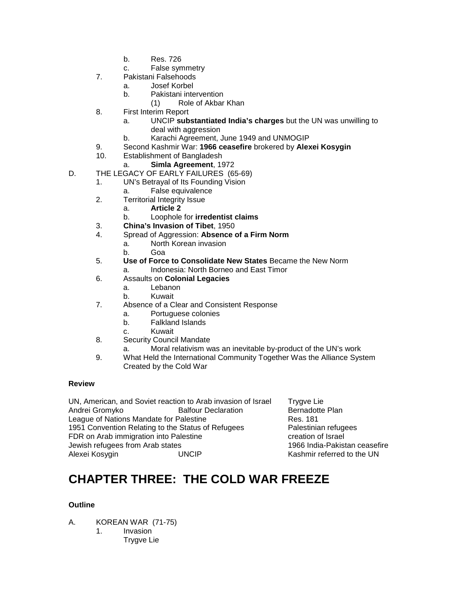- b. Res. 726
- c. False symmetry
- 7. Pakistani Falsehoods
	- a. Josef Korbel
	- b. Pakistani intervention
		- (1) Role of Akbar Khan
- 8. First Interim Report
	- a. UNCIP **substantiated India's charges** but the UN was unwilling to deal with aggression
	- b. Karachi Agreement, June 1949 and UNMOGIP
- 9. Second Kashmir War: **1966 ceasefire** brokered by **Alexei Kosygin**
- Establishment of Bangladesh
	- a. **Simla Agreement**, 1972
- D. THE LEGACY OF EARLY FAILURES (65-69)
	- 1. UN's Betrayal of Its Founding Vision
		- a. False equivalence
	- 2. Territorial Integrity Issue
		- a. **Article 2**
		- b. Loophole for **irredentist claims**
	- 3. **China's Invasion of Tibet**, 1950
	- 4. Spread of Aggression: **Absence of a Firm Norm**
		- a. North Korean invasion
		- b. Goa
	- 5. **Use of Force to Consolidate New States** Became the New Norm
		- a. Indonesia: North Borneo and East Timor
	- 6. Assaults on **Colonial Legacies**
		- a. Lebanon
		- b. Kuwait
	- 7. Absence of a Clear and Consistent Response
		- a. Portuguese colonies
		- b. Falkland Islands
		- c. Kuwait
	- 8. Security Council Mandate
		- a. Moral relativism was an inevitable by-product of the UN's work
	- 9. What Held the International Community Together Was the Alliance System Created by the Cold War

UN, American, and Soviet reaction to Arab invasion of Israel Trygve Lie Andrei Gromyko Balfour Declaration Bernadotte Plan<br>League of Nations Mandate for Palestine **Bernan Bernadotte Plan** League of Nations Mandate for Palestine 1951 Convention Relating to the Status of Refugees Palestinian refugees FDR on Arab immigration into Palestine **EXACTE 10** creation of Israel Jewish refugees from Arab states 1966 India-Pakistan ceasefire

Kashmir referred to the UN

# **CHAPTER THREE: THE COLD WAR FREEZE**

- A. KOREAN WAR (71-75)
	- 1. Invasion Trygve Lie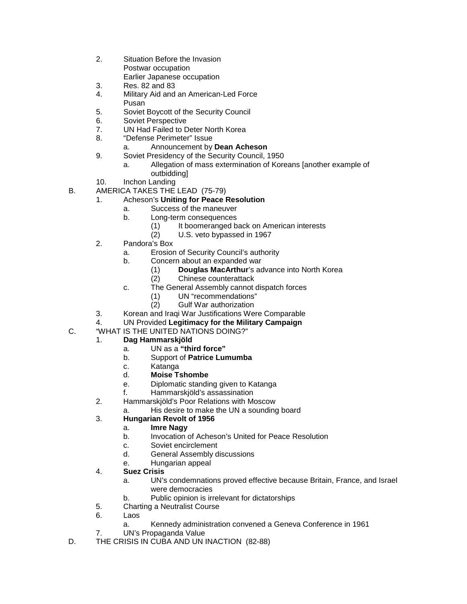- 2. Situation Before the Invasion Postwar occupation Earlier Japanese occupation
- 3. Res. 82 and 83
- 4. Military Aid and an American-Led Force Pusan
- 5. Soviet Boycott of the Security Council
- 6. Soviet Perspective
- 7. UN Had Failed to Deter North Korea
- 8. "Defense Perimeter" Issue

### a. Announcement by **Dean Acheson**

- 9. Soviet Presidency of the Security Council, 1950
	- a. Allegation of mass extermination of Koreans [another example of outbidding]
- 10. Inchon Landing
- B. AMERICA TAKES THE LEAD (75-79)
	- 1. Acheson's **Uniting for Peace Resolution**
		- a. Success of the maneuver
		- b. Long-term consequences
			- (1) It boomeranged back on American interests<br>(2) U.S. veto bypassed in 1967
			- U.S. veto bypassed in 1967
	- 2. Pandora's Box
		- a. Erosion of Security Council's authority
		- b. Concern about an expanded war
			- (1) **Douglas MacArthur**'s advance into North Korea
			- (2) Chinese counterattack
		- c. The General Assembly cannot dispatch forces
			- (1) UN "recommendations"
			- (2) Gulf War authorization
	- 3. Korean and Iraqi War Justifications Were Comparable
	- 4. UN Provided **Legitimacy for the Military Campaign**
- C. "WHAT IS THE UNITED NATIONS DOING?"

## 1. **Dag Hammarskjöld**

- a. UN as a **"third force"**
- b. Support of **Patrice Lumumba**
- c. Katanga
- d. **Moise Tshombe**
- e. Diplomatic standing given to Katanga
- f. Hammarskjöld's assassination
- 2. Hammarskjöld's Poor Relations with Moscow
	- a. His desire to make the UN a sounding board

## 3. **Hungarian Revolt of 1956**

- a. **Imre Nagy**
- b. Invocation of Acheson's United for Peace Resolution
- c. Soviet encirclement<br>d. General Assembly d
- General Assembly discussions
- e. Hungarian appeal
- 4. **Suez Crisis**
	- a. UN's condemnations proved effective because Britain, France, and Israel were democracies
	- b. Public opinion is irrelevant for dictatorships
- 5. Charting a Neutralist Course
- 6. Laos
	- a. Kennedy administration convened a Geneva Conference in 1961
- 7. UN's Propaganda Value
- D. THE CRISIS IN CUBA AND UN INACTION (82-88)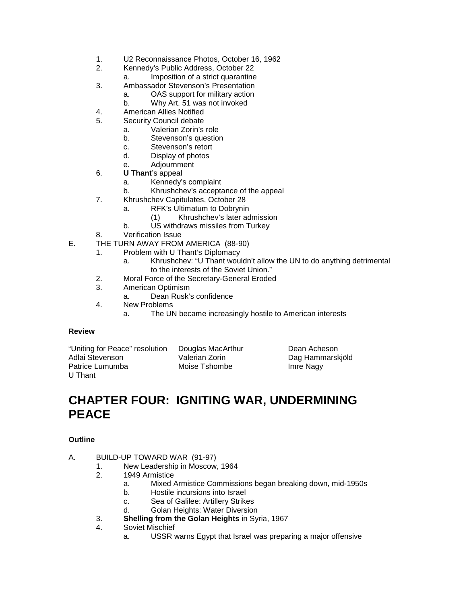- 1. U2 Reconnaissance Photos, October 16, 1962
- 2. Kennedy's Public Address, October 22
	- a. Imposition of a strict quarantine
- 3. Ambassador Stevenson's Presentation
	- a. OAS support for military action
		- b. Why Art. 51 was not invoked
- 4. American Allies Notified
- 5. Security Council debate
	- a. Valerian Zorin's role<br>b. Stevenson's question
	- Stevenson's question
	- c. Stevenson's retort
	- d. Display of photos
	- e. Adjournment
- 6. **U Thant**'s appeal
	- a. Kennedy's complaint
	- b. Khrushchev's acceptance of the appeal
- 7. Khrushchev Capitulates, October 28
	- a. RFK's Ultimatum to Dobrynin
		- (1) Khrushchev's later admission
	- b. US withdraws missiles from Turkey
- 8. Verification Issue
- E. THE TURN AWAY FROM AMERICA (88-90)
	- 1. Problem with U Thant's Diplomacy
		- a. Khrushchev: "U Thant wouldn't allow the UN to do anything detrimental to the interests of the Soviet Union."
	- 2. Moral Force of the Secretary-General Eroded
	- 3. American Optimism
		- a. Dean Rusk's confidence
	- 4. New Problems
		- a. The UN became increasingly hostile to American interests

| "Uniting for Peace" resolution | Douglas MacArthur | Dean Acheson     |
|--------------------------------|-------------------|------------------|
| Adlai Stevenson                | Valerian Zorin    | Dag Hammarskjöld |
| Patrice Lumumba                | Moise Tshombe     | Imre Nagy        |
| U Thant                        |                   |                  |

## **CHAPTER FOUR: IGNITING WAR, UNDERMINING PEACE**

- A. BUILD-UP TOWARD WAR (91-97)
	- 1. New Leadership in Moscow, 1964
	- 2. 1949 Armistice
		- a. Mixed Armistice Commissions began breaking down, mid-1950s
		- b. Hostile incursions into Israel
		- c. Sea of Galilee: Artillery Strikes
		- d. Golan Heights: Water Diversion
	- 3. **Shelling from the Golan Heights** in Syria, 1967
	- Soviet Mischief
		- a. USSR warns Egypt that Israel was preparing a major offensive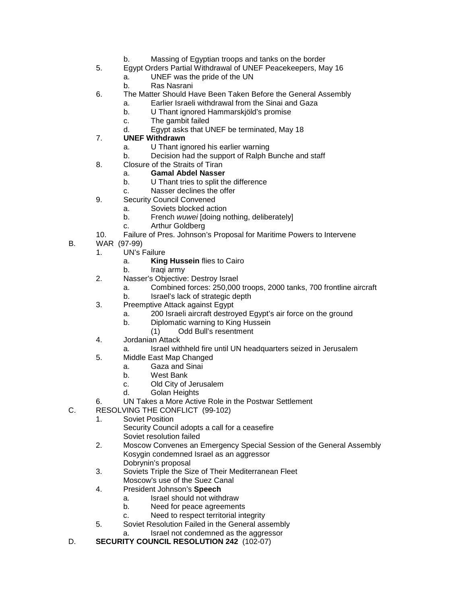- b. Massing of Egyptian troops and tanks on the border
- 5. Egypt Orders Partial Withdrawal of UNEF Peacekeepers, May 16
	- a. UNEF was the pride of the UN
	- b. Ras Nasrani
- 6. The Matter Should Have Been Taken Before the General Assembly
	- a. Earlier Israeli withdrawal from the Sinai and Gaza
	- b. U Thant ignored Hammarskjöld's promise
	- c. The gambit failed
	- d. Egypt asks that UNEF be terminated, May 18

## 7. **UNEF Withdrawn**

- a. U Thant ignored his earlier warning
- b. Decision had the support of Ralph Bunche and staff
- 8. Closure of the Straits of Tiran
	- a. **Gamal Abdel Nasser**
	- b. U Thant tries to split the difference
	- c. Nasser declines the offer
- 9. Security Council Convened
	- a. Soviets blocked action
		- b. French *wuwei* [doing nothing, deliberately]
		- c. Arthur Goldberg
- 10. Failure of Pres. Johnson's Proposal for Maritime Powers to Intervene
- B. WAR (97-99)
	- 1. UN's Failure
		- a. **King Hussein** flies to Cairo
		- b. Iraqi army
	- 2. Nasser's Objective: Destroy Israel
		- a. Combined forces: 250,000 troops, 2000 tanks, 700 frontline aircraft
		- b. Israel's lack of strategic depth
	- 3. Preemptive Attack against Egypt
		- a. 200 Israeli aircraft destroyed Egypt's air force on the ground
		- b. Diplomatic warning to King Hussein
			- (1) Odd Bull's resentment
	- 4. Jordanian Attack
		- a. Israel withheld fire until UN headquarters seized in Jerusalem
	- 5. Middle East Map Changed
		- a. Gaza and Sinai
		- b. West Bank
		- c. Old City of Jerusalem
		- d. Golan Heights
	- 6. UN Takes a More Active Role in the Postwar Settlement
- C. RESOLVING THE CONFLICT (99-102)
	- 1. Soviet Position

Security Council adopts a call for a ceasefire Soviet resolution failed

- 2. Moscow Convenes an Emergency Special Session of the General Assembly Kosygin condemned Israel as an aggressor
	- Dobrynin's proposal
- 3. Soviets Triple the Size of Their Mediterranean Fleet Moscow's use of the Suez Canal
- 4. President Johnson's **Speech**
	- a. Israel should not withdraw
	- b. Need for peace agreements
	- c. Need to respect territorial integrity
- 5. Soviet Resolution Failed in the General assembly
	- a. Israel not condemned as the aggressor
- D. **SECURITY COUNCIL RESOLUTION 242** (102-07)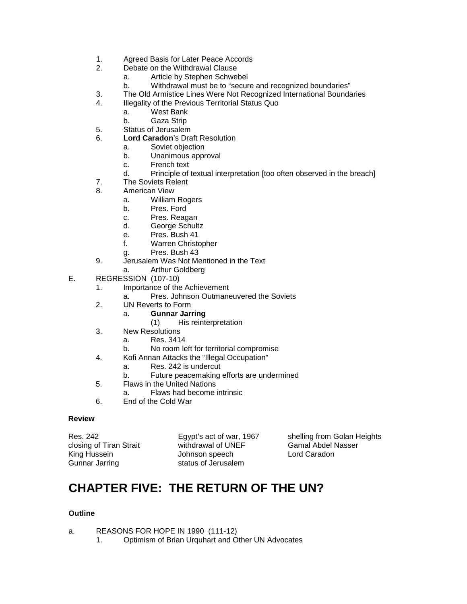- 1. Agreed Basis for Later Peace Accords
- 2. Debate on the Withdrawal Clause
	- a. Article by Stephen Schwebel
	- b. Withdrawal must be to "secure and recognized boundaries"
- 3. The Old Armistice Lines Were Not Recognized International Boundaries
- 4. Illegality of the Previous Territorial Status Quo
	- a. West Bank
	- b. Gaza Strip
- 5. Status of Jerusalem
- 6. **Lord Caradon**'s Draft Resolution
	- a. Soviet objection
		- b. Unanimous approval
		- c. French text
		- d. Principle of textual interpretation [too often observed in the breach]
- 7. The Soviets Relent
- 8. American View
	- a. William Rogers
	- b. Pres. Ford
	- c. Pres. Reagan
	- d. George Schultz
	- e. Pres. Bush 41
	- f. Warren Christopher
	- g. Pres. Bush 43
- 9. Jerusalem Was Not Mentioned in the Text
	- a. Arthur Goldberg
- E. REGRESSION (107-10)
	- 1. Importance of the Achievement
		- a. Pres. Johnson Outmaneuvered the Soviets
	- 2. UN Reverts to Form
		- a. **Gunnar Jarring**
			- (1) His reinterpretation
	- 3. New Resolutions
		- a. Res. 3414
		- b. No room left for territorial compromise
	- 4. Kofi Annan Attacks the "Illegal Occupation"
		- a. Res. 242 is undercut
		- b. Future peacemaking efforts are undermined
	- 5. Flaws in the United Nations
		- a. Flaws had become intrinsic
	- 6. End of the Cold War

Gunnar Jarring status of Jerusalem

closing of Tiran Strait withdrawal of UNEF Gamal Abdel Nasser<br>King Hussein Johnson speech Lord Caradon Johnson speech

Res. 242 Egypt's act of war, 1967 shelling from Golan Heights

# **CHAPTER FIVE: THE RETURN OF THE UN?**

- a. REASONS FOR HOPE IN 1990 (111-12)
	- 1. Optimism of Brian Urquhart and Other UN Advocates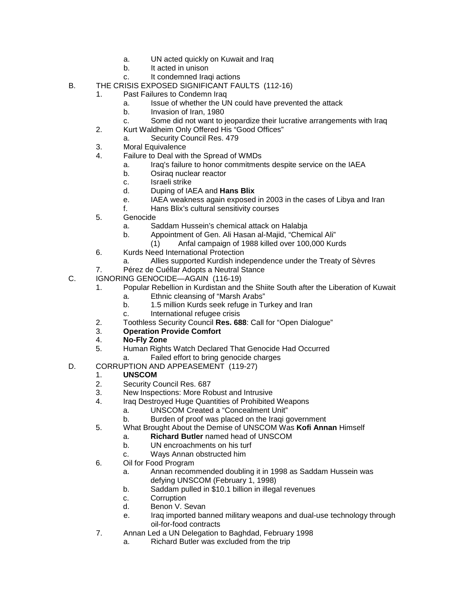- a. UN acted quickly on Kuwait and Iraq
- b. It acted in unison
- c. It condemned Iraqi actions
- B. THE CRISIS EXPOSED SIGNIFICANT FAULTS (112-16)
	- 1. Past Failures to Condemn Iraq
		- a. Issue of whether the UN could have prevented the attack
		- b. Invasion of Iran, 1980
		- c. Some did not want to jeopardize their lucrative arrangements with Iraq
		- 2. Kurt Waldheim Only Offered His "Good Offices"
			- a. Security Council Res. 479
		- 3. Moral Equivalence
		- 4. Failure to Deal with the Spread of WMDs
			- a. Iraq's failure to honor commitments despite service on the IAEA
			- b. Osiraq nuclear reactor
			- c. Israeli strike
			- d. Duping of IAEA and **Hans Blix**
			- e. IAEA weakness again exposed in 2003 in the cases of Libya and Iran
			- f. Hans Blix's cultural sensitivity courses
		- 5. Genocide
			- a. Saddam Hussein's chemical attack on Halabja
			- b. Appointment of Gen. Ali Hasan al-Majid, "Chemical Ali"
				- (1) Anfal campaign of 1988 killed over 100,000 Kurds
		- 6. Kurds Need International Protection
			- a. Allies supported Kurdish independence under the Treaty of Sèvres
		- 7. Pérez de Cuéllar Adopts a Neutral Stance
- C. IGNORING GENOCIDE—AGAIN (116-19)
	- 1. Popular Rebellion in Kurdistan and the Shiite South after the Liberation of Kuwait
		- a. Ethnic cleansing of "Marsh Arabs"
		- b. 1.5 million Kurds seek refuge in Turkey and Iran
		- c. International refugee crisis
	- 2. Toothless Security Council **Res. 688**: Call for "Open Dialogue"
	- **Operation Provide Comfort**
	- 4. **No-Fly Zone**
	- Human Rights Watch Declared That Genocide Had Occurred
		- a. Failed effort to bring genocide charges
- D. CORRUPTION AND APPEASEMENT (119-27)

#### 1. **UNSCOM**

- 2. Security Council Res. 687<br>3. New Inspections: More Ro
- 3. New Inspections: More Robust and Intrusive<br>4 Iraq Destroved Huge Quantities of Probibited
	- Iraq Destroyed Huge Quantities of Prohibited Weapons
		- a. UNSCOM Created a "Concealment Unit"
		- b. Burden of proof was placed on the Iraqi government
- 5. What Brought About the Demise of UNSCOM Was **Kofi Annan** Himself
	- a. **Richard Butler** named head of UNSCOM
		- b. UN encroachments on his turf
	- c. Ways Annan obstructed him
- 6. Oil for Food Program
	- a. Annan recommended doubling it in 1998 as Saddam Hussein was defying UNSCOM (February 1, 1998)
	- b. Saddam pulled in \$10.1 billion in illegal revenues
	- c. Corruption
	- d. Benon V. Sevan
	- e. Iraq imported banned military weapons and dual-use technology through oil-for-food contracts
- 7. Annan Led a UN Delegation to Baghdad, February 1998
	- a. Richard Butler was excluded from the trip